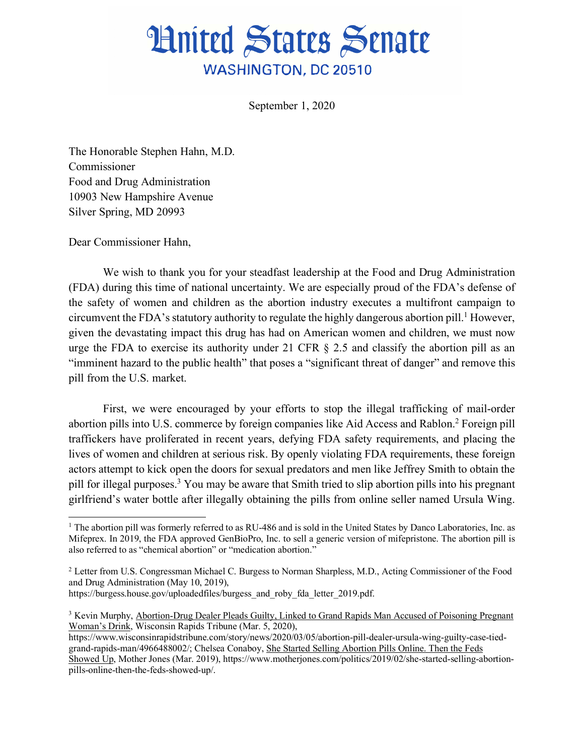## **Hnited States Senate WASHINGTON, DC 20510**

September 1, 2020

The Honorable Stephen Hahn, M.D. Commissioner Food and Drug Administration 10903 New Hampshire Avenue Silver Spring, MD 20993

Dear Commissioner Hahn,

 $\overline{a}$ 

We wish to thank you for your steadfast leadership at the Food and Drug Administration (FDA) during this time of national uncertainty. We are especially proud of the FDA's defense of the safety of women and children as the abortion industry executes a multifront campaign to circumvent the FDA's statutory authority to regulate the highly dangerous abortion pill.<sup>1</sup> However, given the devastating impact this drug has had on American women and children, we must now urge the FDA to exercise its authority under 21 CFR § 2.5 and classify the abortion pill as an "imminent hazard to the public health" that poses a "significant threat of danger" and remove this pill from the U.S. market.

First, we were encouraged by your efforts to stop the illegal trafficking of mail-order abortion pills into U.S. commerce by foreign companies like Aid Access and Rablon.2 Foreign pill traffickers have proliferated in recent years, defying FDA safety requirements, and placing the lives of women and children at serious risk. By openly violating FDA requirements, these foreign actors attempt to kick open the doors for sexual predators and men like Jeffrey Smith to obtain the pill for illegal purposes.3 You may be aware that Smith tried to slip abortion pills into his pregnant girlfriend's water bottle after illegally obtaining the pills from online seller named Ursula Wing.

<sup>&</sup>lt;sup>1</sup> The abortion pill was formerly referred to as RU-486 and is sold in the United States by Danco Laboratories, Inc. as Mifeprex. In 2019, the FDA approved GenBioPro, Inc. to sell a generic version of mifepristone. The abortion pill is also referred to as "chemical abortion" or "medication abortion."

<sup>2</sup> Letter from U.S. Congressman Michael C. Burgess to Norman Sharpless, M.D., Acting Commissioner of the Food and Drug Administration (May 10, 2019),

https://burgess.house.gov/uploadedfiles/burgess\_and\_roby\_fda\_letter\_2019.pdf.

<sup>3</sup> Kevin Murphy, Abortion-Drug Dealer Pleads Guilty, Linked to Grand Rapids Man Accused of Poisoning Pregnant Woman's Drink, Wisconsin Rapids Tribune (Mar. 5, 2020),

https://www.wisconsinrapidstribune.com/story/news/2020/03/05/abortion-pill-dealer-ursula-wing-guilty-case-tiedgrand-rapids-man/4966488002/; Chelsea Conaboy, She Started Selling Abortion Pills Online. Then the Feds Showed Up, Mother Jones (Mar. 2019), https://www.motherjones.com/politics/2019/02/she-started-selling-abortionpills-online-then-the-feds-showed-up/.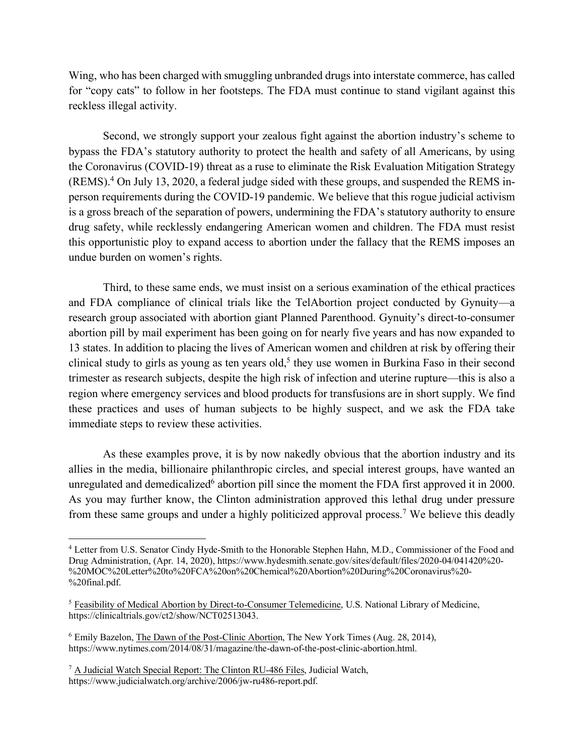Wing, who has been charged with smuggling unbranded drugs into interstate commerce, has called for "copy cats" to follow in her footsteps. The FDA must continue to stand vigilant against this reckless illegal activity.

Second, we strongly support your zealous fight against the abortion industry's scheme to bypass the FDA's statutory authority to protect the health and safety of all Americans, by using the Coronavirus (COVID-19) threat as a ruse to eliminate the Risk Evaluation Mitigation Strategy (REMS).4 On July 13, 2020, a federal judge sided with these groups, and suspended the REMS inperson requirements during the COVID-19 pandemic. We believe that this rogue judicial activism is a gross breach of the separation of powers, undermining the FDA's statutory authority to ensure drug safety, while recklessly endangering American women and children. The FDA must resist this opportunistic ploy to expand access to abortion under the fallacy that the REMS imposes an undue burden on women's rights.

Third, to these same ends, we must insist on a serious examination of the ethical practices and FDA compliance of clinical trials like the TelAbortion project conducted by Gynuity—a research group associated with abortion giant Planned Parenthood. Gynuity's direct-to-consumer abortion pill by mail experiment has been going on for nearly five years and has now expanded to 13 states. In addition to placing the lives of American women and children at risk by offering their clinical study to girls as young as ten years old,<sup>5</sup> they use women in Burkina Faso in their second trimester as research subjects, despite the high risk of infection and uterine rupture—this is also a region where emergency services and blood products for transfusions are in short supply. We find these practices and uses of human subjects to be highly suspect, and we ask the FDA take immediate steps to review these activities.

As these examples prove, it is by now nakedly obvious that the abortion industry and its allies in the media, billionaire philanthropic circles, and special interest groups, have wanted an unregulated and demedicalized<sup> $6$ </sup> abortion pill since the moment the FDA first approved it in 2000. As you may further know, the Clinton administration approved this lethal drug under pressure from these same groups and under a highly politicized approval process.7 We believe this deadly

<sup>4</sup> Letter from U.S. Senator Cindy Hyde-Smith to the Honorable Stephen Hahn, M.D., Commissioner of the Food and Drug Administration, (Apr. 14, 2020), https://www.hydesmith.senate.gov/sites/default/files/2020-04/041420%20- %20MOC%20Letter%20to%20FCA%20on%20Chemical%20Abortion%20During%20Coronavirus%20- %20final.pdf.

<sup>5</sup> Feasibility of Medical Abortion by Direct-to-Consumer Telemedicine, U.S. National Library of Medicine, https://clinicaltrials.gov/ct2/show/NCT02513043.

<sup>6</sup> Emily Bazelon, The Dawn of the Post-Clinic Abortion, The New York Times (Aug. 28, 2014), https://www.nytimes.com/2014/08/31/magazine/the-dawn-of-the-post-clinic-abortion.html.

<sup>7</sup> A Judicial Watch Special Report: The Clinton RU-486 Files, Judicial Watch, https://www.judicialwatch.org/archive/2006/jw-ru486-report.pdf.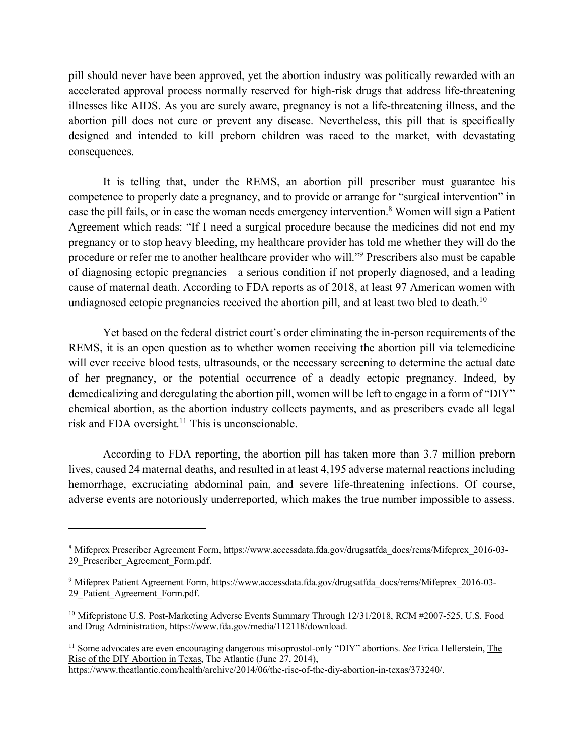pill should never have been approved, yet the abortion industry was politically rewarded with an accelerated approval process normally reserved for high-risk drugs that address life-threatening illnesses like AIDS. As you are surely aware, pregnancy is not a life-threatening illness, and the abortion pill does not cure or prevent any disease. Nevertheless, this pill that is specifically designed and intended to kill preborn children was raced to the market, with devastating consequences.

It is telling that, under the REMS, an abortion pill prescriber must guarantee his competence to properly date a pregnancy, and to provide or arrange for "surgical intervention" in case the pill fails, or in case the woman needs emergency intervention.<sup>8</sup> Women will sign a Patient Agreement which reads: "If I need a surgical procedure because the medicines did not end my pregnancy or to stop heavy bleeding, my healthcare provider has told me whether they will do the procedure or refer me to another healthcare provider who will."9 Prescribers also must be capable of diagnosing ectopic pregnancies—a serious condition if not properly diagnosed, and a leading cause of maternal death. According to FDA reports as of 2018, at least 97 American women with undiagnosed ectopic pregnancies received the abortion pill, and at least two bled to death.<sup>10</sup>

Yet based on the federal district court's order eliminating the in-person requirements of the REMS, it is an open question as to whether women receiving the abortion pill via telemedicine will ever receive blood tests, ultrasounds, or the necessary screening to determine the actual date of her pregnancy, or the potential occurrence of a deadly ectopic pregnancy. Indeed, by demedicalizing and deregulating the abortion pill, women will be left to engage in a form of "DIY" chemical abortion, as the abortion industry collects payments, and as prescribers evade all legal risk and FDA oversight. $11$  This is unconscionable.

According to FDA reporting, the abortion pill has taken more than 3.7 million preborn lives, caused 24 maternal deaths, and resulted in at least 4,195 adverse maternal reactions including hemorrhage, excruciating abdominal pain, and severe life-threatening infections. Of course, adverse events are notoriously underreported, which makes the true number impossible to assess.

<sup>8</sup> Mifeprex Prescriber Agreement Form, https://www.accessdata.fda.gov/drugsatfda\_docs/rems/Mifeprex\_2016-03- 29\_Prescriber\_Agreement\_Form.pdf.

<sup>9</sup> Mifeprex Patient Agreement Form, https://www.accessdata.fda.gov/drugsatfda\_docs/rems/Mifeprex\_2016-03- 29 Patient Agreement Form.pdf.

<sup>&</sup>lt;sup>10</sup> Mifepristone U.S. Post-Marketing Adverse Events Summary Through 12/31/2018, RCM #2007-525, U.S. Food and Drug Administration, https://www.fda.gov/media/112118/download.

<sup>11</sup> Some advocates are even encouraging dangerous misoprostol-only "DIY" abortions. *See* Erica Hellerstein, The Rise of the DIY Abortion in Texas, The Atlantic (June 27, 2014),

https://www.theatlantic.com/health/archive/2014/06/the-rise-of-the-diy-abortion-in-texas/373240/.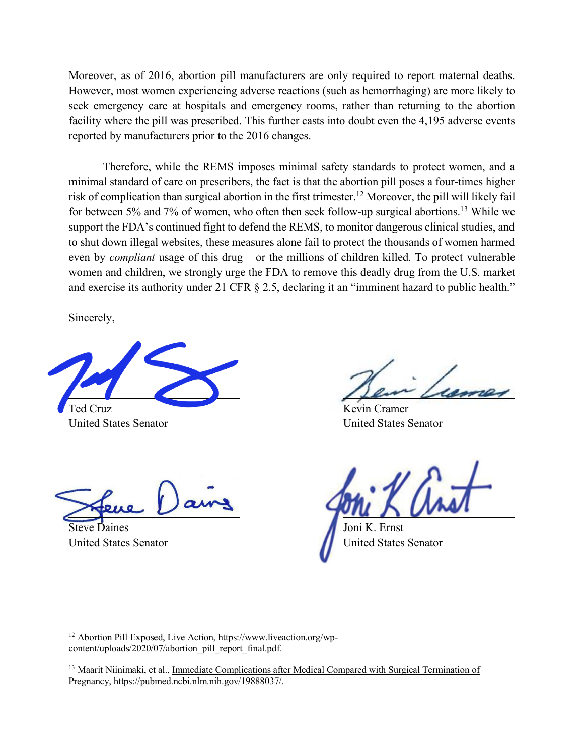Moreover, as of 2016, abortion pill manufacturers are only required to report maternal deaths. However, most women experiencing adverse reactions (such as hemorrhaging) are more likely to seek emergency care at hospitals and emergency rooms, rather than returning to the abortion facility where the pill was prescribed. This further casts into doubt even the 4,195 adverse events reported by manufacturers prior to the 2016 changes.

Therefore, while the REMS imposes minimal safety standards to protect women, and a minimal standard of care on prescribers, the fact is that the abortion pill poses a four-times higher risk of complication than surgical abortion in the first trimester.12 Moreover, the pill will likely fail for between 5% and 7% of women, who often then seek follow-up surgical abortions.13 While we support the FDA's continued fight to defend the REMS, to monitor dangerous clinical studies, and to shut down illegal websites, these measures alone fail to protect the thousands of women harmed even by *compliant* usage of this drug – or the millions of children killed. To protect vulnerable women and children, we strongly urge the FDA to remove this deadly drug from the U.S. market and exercise its authority under 21 CFR § 2.5, declaring it an "imminent hazard to public health."

Sincerely,

Ted Cruz Kevin Cramer United States Senator United States Senator

Steve Daines Joni K. Ernst

United States Senator **United States Senator** 

<sup>12</sup> Abortion Pill Exposed, Live Action, https://www.liveaction.org/wpcontent/uploads/2020/07/abortion\_pill\_report\_final.pdf.

<sup>&</sup>lt;sup>13</sup> Maarit Niinimaki, et al., Immediate Complications after Medical Compared with Surgical Termination of Pregnancy, https://pubmed.ncbi.nlm.nih.gov/19888037/.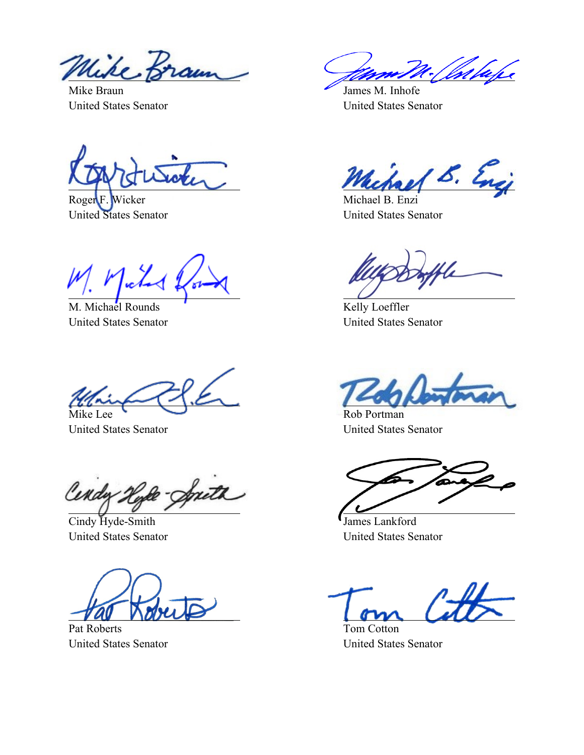Wike Braun

Mike Braun James M. Inhofe United States Senator United States Senator

Roger F. Wicker Michael B. Enzi

M. Michael Rounds **Kelly Loeffler** 

Mike Lee Rob Portman

Cendy -South

Cindy Hyde-Smith  $\blacksquare$  James Lankford

Pat Roberts Tom Cotton

Chlape

S. Encj

United States Senator United States Senator

United States Senator United States Senator

United States Senator United States Senator

United States Senator United States Senator

United States Senator United States Senator